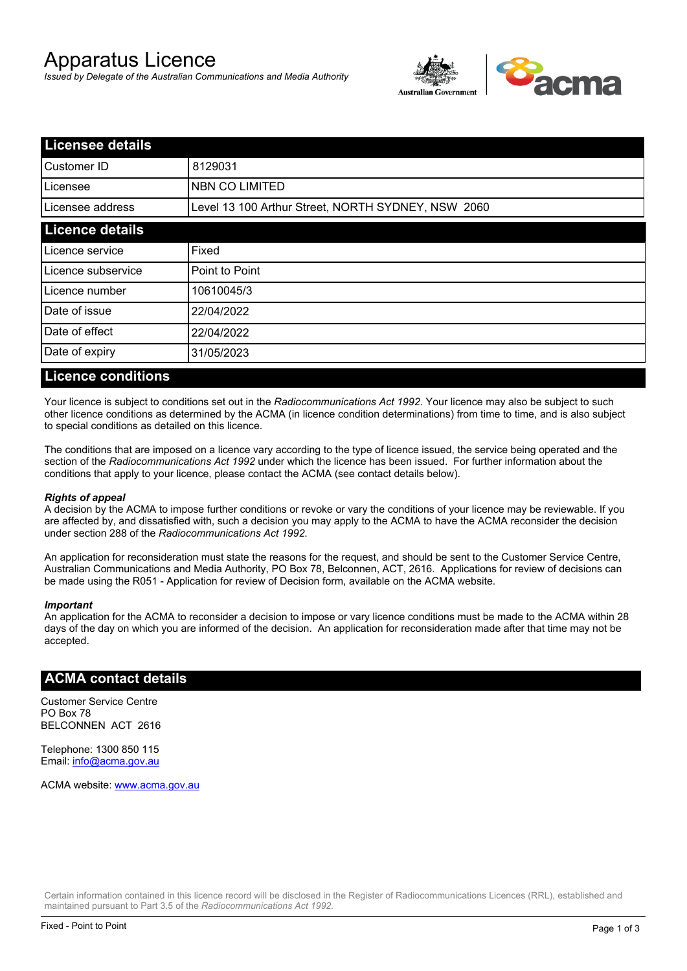# Apparatus Licence

*Issued by Delegate of the Australian Communications and Media Authority*



| <b>Licensee details</b> |                                                    |  |
|-------------------------|----------------------------------------------------|--|
| Customer ID             | 8129031                                            |  |
| ILicensee               | <b>NBN CO LIMITED</b>                              |  |
| Licensee address        | Level 13 100 Arthur Street, NORTH SYDNEY, NSW 2060 |  |
| <b>Licence details</b>  |                                                    |  |
| Licence service         | Fixed                                              |  |
| Licence subservice      | Point to Point                                     |  |
| Licence number          | 10610045/3                                         |  |
| Date of issue           | 22/04/2022                                         |  |
| Date of effect          | 22/04/2022                                         |  |
| Date of expiry          | 31/05/2023                                         |  |
|                         |                                                    |  |

#### **Licence conditions**

Your licence is subject to conditions set out in the *Radiocommunications Act 1992*. Your licence may also be subject to such other licence conditions as determined by the ACMA (in licence condition determinations) from time to time, and is also subject to special conditions as detailed on this licence.

The conditions that are imposed on a licence vary according to the type of licence issued, the service being operated and the section of the *Radiocommunications Act 1992* under which the licence has been issued. For further information about the conditions that apply to your licence, please contact the ACMA (see contact details below).

#### *Rights of appeal*

A decision by the ACMA to impose further conditions or revoke or vary the conditions of your licence may be reviewable. If you are affected by, and dissatisfied with, such a decision you may apply to the ACMA to have the ACMA reconsider the decision under section 288 of the *Radiocommunications Act 1992*.

An application for reconsideration must state the reasons for the request, and should be sent to the Customer Service Centre, Australian Communications and Media Authority, PO Box 78, Belconnen, ACT, 2616. Applications for review of decisions can be made using the R051 - Application for review of Decision form, available on the ACMA website.

#### *Important*

An application for the ACMA to reconsider a decision to impose or vary licence conditions must be made to the ACMA within 28 days of the day on which you are informed of the decision. An application for reconsideration made after that time may not be accepted.

#### **ACMA contact details**

Customer Service Centre PO Box 78 BELCONNEN ACT 2616

Telephone: 1300 850 115 Email: info@acma.gov.au

ACMA website: www.acma.gov.au

Certain information contained in this licence record will be disclosed in the Register of Radiocommunications Licences (RRL), established and maintained pursuant to Part 3.5 of the *Radiocommunications Act 1992.*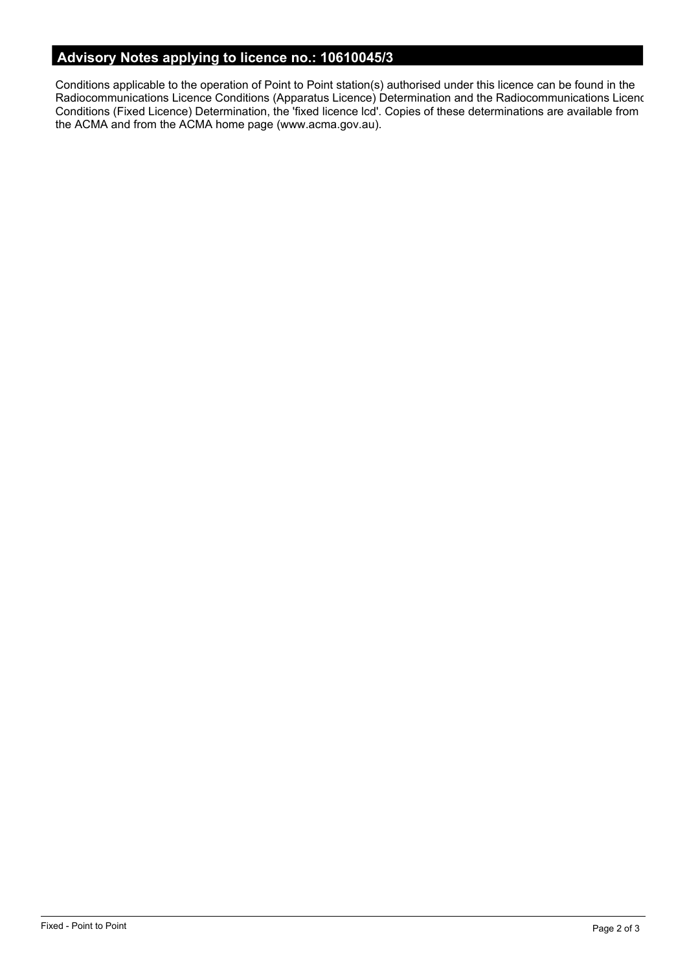# **Advisory Notes applying to licence no.: 10610045/3**

Conditions applicable to the operation of Point to Point station(s) authorised under this licence can be found in the Radiocommunications Licence Conditions (Apparatus Licence) Determination and the Radiocommunications Licence Conditions (Fixed Licence) Determination, the 'fixed licence lcd'. Copies of these determinations are available from the ACMA and from the ACMA home page (www.acma.gov.au).